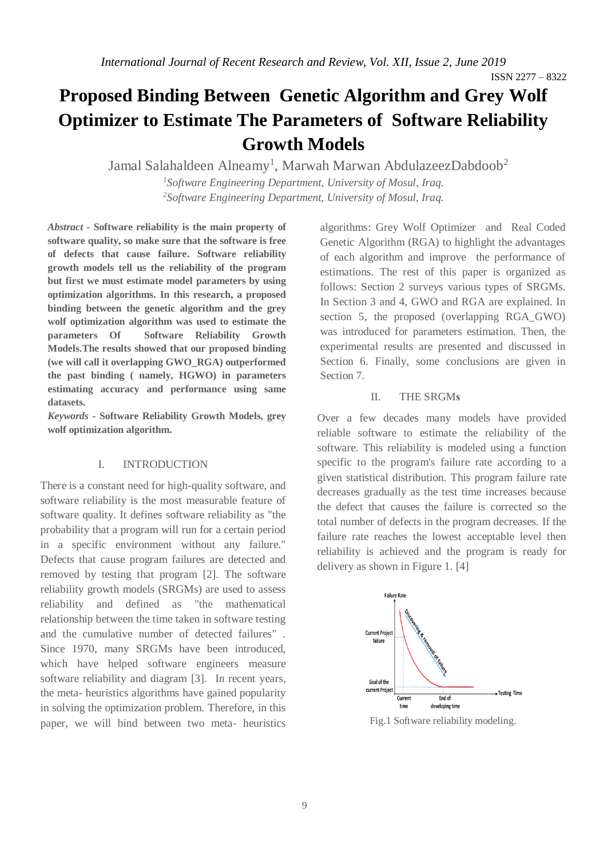ISSN 2277 – 8322

# **Proposed Binding Between Genetic Algorithm and Grey Wolf Optimizer to Estimate The Parameters of Software Reliability Growth Models**

Jamal Salahaldeen Alneamy<sup>1</sup>, Marwah Marwan AbdulazeezDabdoob<sup>2</sup>

*<sup>1</sup>Software Engineering Department, University of Mosul, Iraq. <sup>2</sup>Software Engineering Department, University of Mosul, Iraq.*

*Abstract* **- Software reliability is the main property of software quality, so make sure that the software is free of defects that cause failure. Software reliability growth models tell us the reliability of the program but first we must estimate model parameters by using optimization algorithms. In this research, a proposed binding between the genetic algorithm and the grey wolf optimization algorithm was used to estimate the parameters Of Software Reliability Growth Models.The results showed that our proposed binding (we will call it overlapping GWO\_RGA) outperformed the past binding ( namely, HGWO) in parameters estimating accuracy and performance using same datasets.**

*Keywords -* **Software Reliability Growth Models, grey wolf optimization algorithm.**

#### I. INTRODUCTION

There is a constant need for high-quality software, and software reliability is the most measurable feature of software quality. It defines software reliability as "the probability that a program will run for a certain period in a specific environment without any failure." Defects that cause program failures are detected and removed by testing that program [2]. The software reliability growth models (SRGMs) are used to assess reliability and defined as "the mathematical relationship between the time taken in software testing and the cumulative number of detected failures" . Since 1970, many SRGMs have been introduced, which have helped software engineers measure software reliability and diagram [3]. In recent years, the meta- heuristics algorithms have gained popularity in solving the optimization problem. Therefore, in this paper, we will bind between two meta- heuristics algorithms: Grey Wolf Optimizer and Real Coded Genetic Algorithm (RGA) to highlight the advantages of each algorithm and improve the performance of estimations. The rest of this paper is organized as follows: Section 2 surveys various types of SRGMs. In Section 3 and 4, GWO and RGA are explained. In section 5, the proposed (overlapping RGA\_GWO) was introduced for parameters estimation. Then, the experimental results are presented and discussed in Section 6. Finally, some conclusions are given in Section 7.

## II. THE SRGM**s**

Over a few decades many models have provided reliable software to estimate the reliability of the software. This reliability is modeled using a function specific to the program's failure rate according to a given statistical distribution. This program failure rate decreases gradually as the test time increases because the defect that causes the failure is corrected so the total number of defects in the program decreases. If the failure rate reaches the lowest acceptable level then reliability is achieved and the program is ready for delivery as shown in Figure 1. [4]



Fig.1 Software reliability modeling.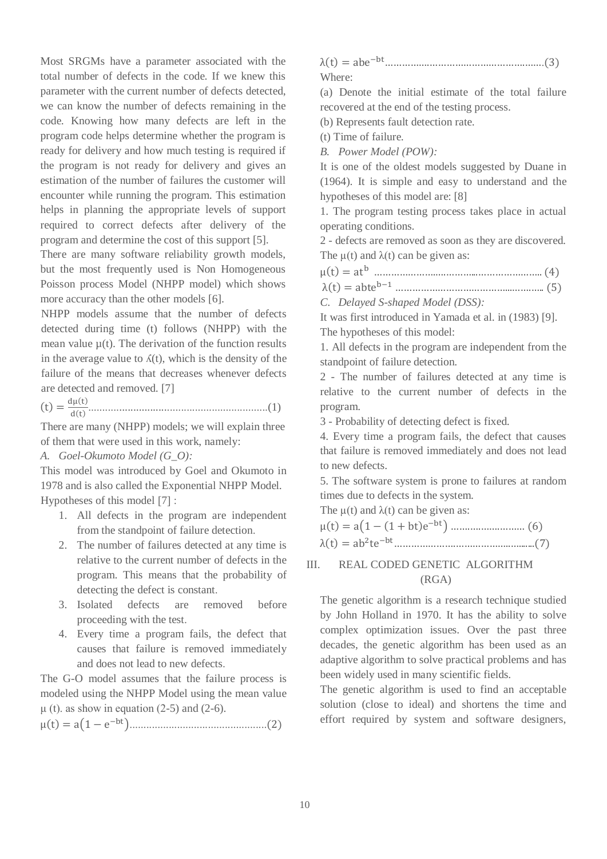Most SRGMs have a parameter associated with the total number of defects in the code. If we knew this parameter with the current number of defects detected, we can know the number of defects remaining in the code. Knowing how many defects are left in the program code helps determine whether the program is ready for delivery and how much testing is required if the program is not ready for delivery and gives an estimation of the number of failures the customer will encounter while running the program. This estimation helps in planning the appropriate levels of support required to correct defects after delivery of the program and determine the cost of this support [5].

There are many software reliability growth models, but the most frequently used is Non Homogeneous Poisson process Model (NHPP model) which shows more accuracy than the other models [6].

NHPP models assume that the number of defects detected during time (t) follows (NHPP) with the mean value  $\mu(t)$ . The derivation of the function results in the average value to  $\Lambda(t)$ , which is the density of the failure of the means that decreases whenever defects are detected and removed. [7]

 $f(t) = \frac{d\mu(t)}{d(t)}$ d(t) ................................................................(1)

There are many (NHPP) models; we will explain three of them that were used in this work, namely:

*A. Goel-Okumoto Model (G\_O):*

This model was introduced by Goel and Okumoto in 1978 and is also called the Exponential NHPP Model. Hypotheses of this model  $[7]$ :

- 1. All defects in the program are independent from the standpoint of failure detection.
- 2. The number of failures detected at any time is relative to the current number of defects in the program. This means that the probability of detecting the defect is constant.
- 3. Isolated defects are removed before proceeding with the test.
- 4. Every time a program fails, the defect that causes that failure is removed immediately and does not lead to new defects.

The G-O model assumes that the failure process is modeled using the NHPP Model using the mean value  $\mu$  (t). as show in equation (2-5) and (2-6).

μ(t) = a(1 − e −bt).................................................(2)

λ(t) = abe −bt…………….…………………………….…….(3) Where:

(a) Denote the initial estimate of the total failure recovered at the end of the testing process.

(b) Represents fault detection rate.

(t) Time of failure.

*B. Power Model (POW):*

It is one of the oldest models suggested by Duane in (1964). It is simple and easy to understand and the hypotheses of this model are: [8]

1. The program testing process takes place in actual operating conditions.

2 - defects are removed as soon as they are discovered. The  $\mu(t)$  and  $\lambda(t)$  can be given as:

| $\mu(t) = at$ |  |  |
|---------------|--|--|
|               |  |  |

λ(t) = abte b−1 …………………………………...…….….. (5)

*C. Delayed S-shaped Model (DSS):*

It was first introduced in Yamada et al. in (1983) [9]. The hypotheses of this model:

1. All defects in the program are independent from the standpoint of failure detection.

2 - The number of failures detected at any time is relative to the current number of defects in the program.

3 - Probability of detecting defect is fixed.

4. Every time a program fails, the defect that causes that failure is removed immediately and does not lead to new defects.

5. The software system is prone to failures at random times due to defects in the system.

The  $\mu(t)$  and  $\lambda(t)$  can be given as:

μ(t) = a(1 − (1 + bt)e −bt) …….….…….……… (6) λ(t) = ab 2 te −bt………………….………………..….......(7)

# III. REAL CODED GENETIC ALGORITHM (RGA)

The genetic algorithm is a research technique studied by John Holland in 1970. It has the ability to solve complex optimization issues. Over the past three decades, the genetic algorithm has been used as an adaptive algorithm to solve practical problems and has been widely used in many scientific fields.

The genetic algorithm is used to find an acceptable solution (close to ideal) and shortens the time and effort required by system and software designers,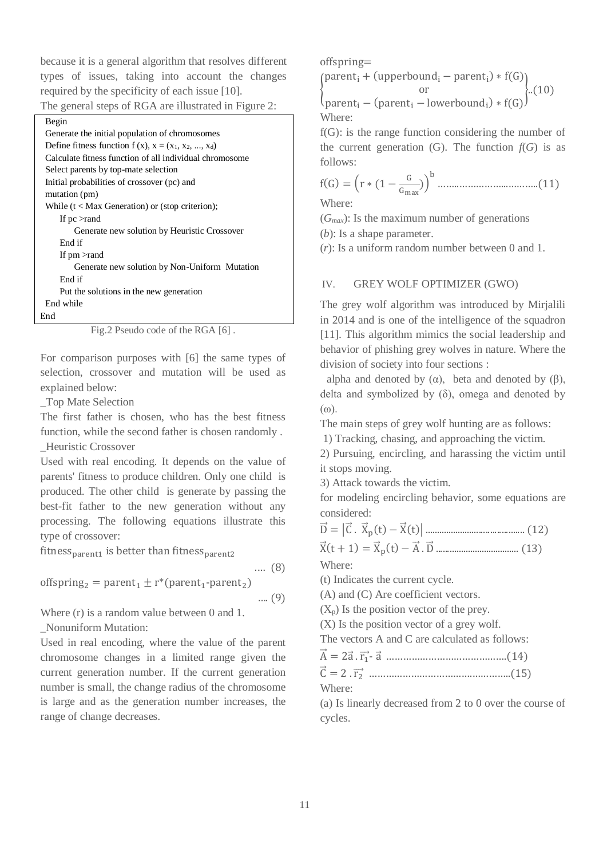because it is a general algorithm that resolves different types of issues, taking into account the changes required by the specificity of each issue [10].

|  |  |  |  |  |  | The general steps of RGA are illustrated in Figure 2: |  |  |  |
|--|--|--|--|--|--|-------------------------------------------------------|--|--|--|
|--|--|--|--|--|--|-------------------------------------------------------|--|--|--|

| Begin                                                    |
|----------------------------------------------------------|
| Generate the initial population of chromosomes           |
| Define fitness function $f(x)$ , $x = (x_1, x_2, , x_d)$ |
| Calculate fitness function of all individual chromosome  |
| Select parents by top-mate selection                     |
| Initial probabilities of crossover (pc) and              |
| mutation (pm)                                            |
| While $(t < Max$ Generation) or (stop criterion);        |
| If $pc >$ rand                                           |
| Generate new solution by Heuristic Crossover             |
| End if                                                   |
| If $pm >$ rand                                           |
| Generate new solution by Non-Uniform Mutation            |
| End if                                                   |
| Put the solutions in the new generation                  |
| End while                                                |
| End                                                      |



For comparison purposes with [6] the same types of selection, crossover and mutation will be used as explained below:

\_Top Mate Selection

The first father is chosen, who has the best fitness function, while the second father is chosen randomly . \_Heuristic Crossover

Used with real encoding. It depends on the value of parents' fitness to produce children. Only one child is produced. The other child is generate by passing the best-fit father to the new generation without any processing. The following equations illustrate this type of crossover:

fitness<sub>parent1</sub> is better than fitness<sub>parent2</sub>

.… (8)

offspring<sub>2</sub> = parent<sub>1</sub>  $\pm$  r<sup>\*</sup>(parent<sub>1</sub>-parent<sub>2</sub>)

```
…. (9)
```
Where (r) is a random value between 0 and 1. \_Nonuniform Mutation:

Used in real encoding, where the value of the parent

chromosome changes in a limited range given the current generation number. If the current generation number is small, the change radius of the chromosome is large and as the generation number increases, the range of change decreases.

offspring=

{  $parent_i + (upperbound_i - parent_i) * f(G)$ or  $\{..(10)\}$  $parent_i - (parent_i - lowerbound_i) * f(G)$ Where:

f(G): is the range function considering the number of the current generation  $(G)$ . The function  $f(G)$  is as follows:

f(G) = (r ∗ (1 − G Gmax )) b ……..……………...………..(11)

Where:

 $(G_{max})$ : Is the maximum number of generations (*b*): Is a shape parameter.

(*r*): Is a uniform random number between 0 and 1.

#### IV. GREY WOLF OPTIMIZER (GWO)

The grey wolf algorithm was introduced by Mirjalili in 2014 and is one of the intelligence of the squadron [11]. This algorithm mimics the social leadership and behavior of phishing grey wolves in nature. Where the division of society into four sections :

alpha and denoted by  $(\alpha)$ , beta and denoted by  $(\beta)$ , delta and symbolized by  $(\delta)$ , omega and denoted by (ω).

The main steps of grey wolf hunting are as follows:

1) Tracking, chasing, and approaching the victim.

2) Pursuing, encircling, and harassing the victim until it stops moving.

3) Attack towards the victim.

for modeling encircling behavior, some equations are considered:

D⃗ = |C⃗ . X⃗ p (t) − X⃗ (t)| ........................................... (12)

X⃗ (t + 1) = X⃗ p (t) − A⃗ .D⃗ .................................... (13)

Where:

(t) Indicates the current cycle.

(A) and (C) Are coefficient vectors.

 $(X_p)$  Is the position vector of the prey.

(X) Is the position vector of a grey wolf.

The vectors A and C are calculated as follows:

A⃗ = 2a⃗ . r⃗⃗<sup>1</sup> - a⃗ …………………………………….(14)

C⃗ = 2 . r⃗⃗⃗2 ……………………………….…………..(15)

Where:

(a) Is linearly decreased from 2 to 0 over the course of cycles.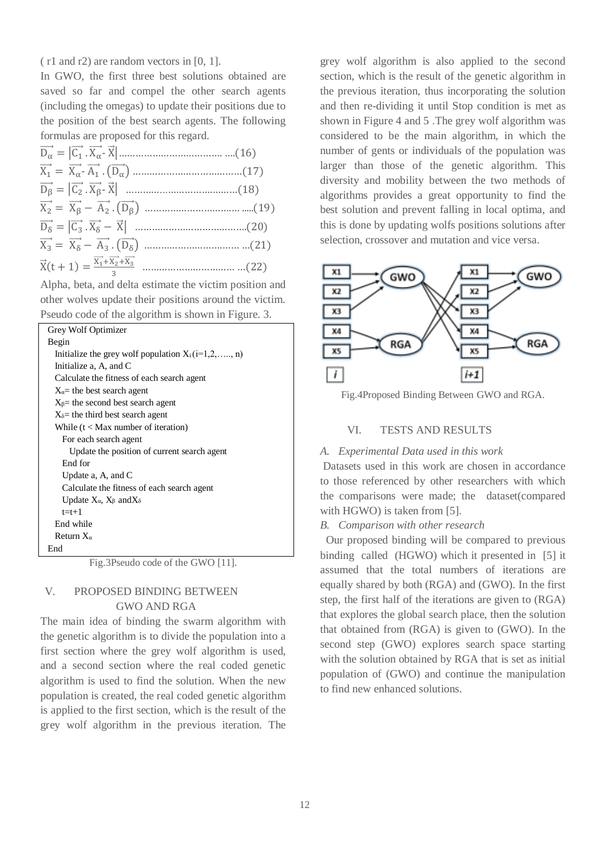( r1 and r2) are random vectors in [0, 1].

In GWO, the first three best solutions obtained are saved so far and compel the other search agents (including the omegas) to update their positions due to the position of the best search agents. The following formulas are proposed for this regard.

Alpha, beta, and delta estimate the victim position and other wolves update their positions around the victim. Pseudo code of the algorithm is shown in Figure. 3.

| Grey Wolf Optimizer                                 |
|-----------------------------------------------------|
| Begin                                               |
| Initialize the grey wolf population $X_i(i=1,2,,n)$ |
| Initialize a, $A$ , and $C$                         |
| Calculate the fitness of each search agent          |
| $X_{\alpha}$ the best search agent                  |
| $X_{\beta}$ the second best search agent            |
| $X_{\delta}$ the third best search agent            |
| While $(t <$ Max number of iteration)               |
| For each search agent                               |
| Update the position of current search agent         |
| End for                                             |
| Update $a, A$ , and $C$                             |
| Calculate the fitness of each search agent          |
| Update $X_{\alpha}$ , $X_{\beta}$ and $X_{\delta}$  |
| $t=t+1$                                             |
| End while                                           |
| Return $X_{\alpha}$                                 |
| End                                                 |

Fig.3Pseudo code of the GWO [11].

## V. PROPOSED BINDING BETWEEN GWO AND RGA

The main idea of binding the swarm algorithm with the genetic algorithm is to divide the population into a first section where the grey wolf algorithm is used, and a second section where the real coded genetic algorithm is used to find the solution. When the new population is created, the real coded genetic algorithm is applied to the first section, which is the result of the grey wolf algorithm in the previous iteration. The

grey wolf algorithm is also applied to the second section, which is the result of the genetic algorithm in the previous iteration, thus incorporating the solution and then re-dividing it until Stop condition is met as shown in Figure 4 and 5 .The grey wolf algorithm was considered to be the main algorithm, in which the number of gents or individuals of the population was larger than those of the genetic algorithm. This diversity and mobility between the two methods of algorithms provides a great opportunity to find the best solution and prevent falling in local optima, and this is done by updating wolfs positions solutions after selection, crossover and mutation and vice versa.



Fig.4Proposed Binding Between GWO and RGA.

## VI. TESTS AND RESULTS

#### *A. Experimental Data used in this work*

Datasets used in this work are chosen in accordance to those referenced by other researchers with which the comparisons were made; the dataset(compared with HGWO) is taken from [5].

*B. Comparison with other research*

 Our proposed binding will be compared to previous binding called (HGWO) which it presented in [5] it assumed that the total numbers of iterations are equally shared by both (RGA) and (GWO). In the first step, the first half of the iterations are given to (RGA) that explores the global search place, then the solution that obtained from (RGA) is given to (GWO). In the second step (GWO) explores search space starting with the solution obtained by RGA that is set as initial population of (GWO) and continue the manipulation to find new enhanced solutions.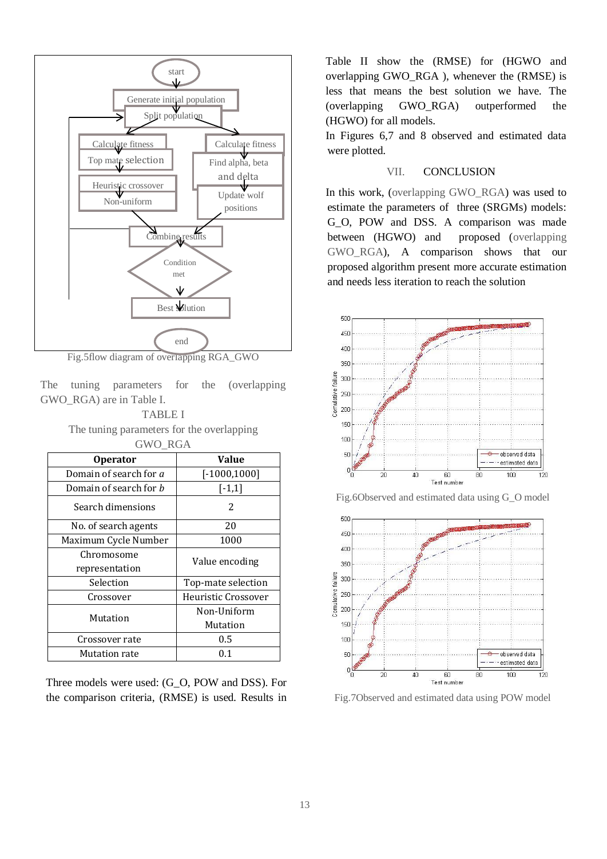

Fig.5flow diagram of overlapping RGA\_GWO

The tuning parameters for the (overlapping GWO\_RGA) are in Table I.

#### TABLE I

The tuning parameters for the overlapping GWO\_RGA

| <b>Operator</b>               | <b>Value</b>        |  |  |  |  |
|-------------------------------|---------------------|--|--|--|--|
| Domain of search for a        | $[-1000, 1000]$     |  |  |  |  |
| Domain of search for <i>b</i> | $[-1,1]$            |  |  |  |  |
| Search dimensions             | $\mathcal{P}$       |  |  |  |  |
| No. of search agents          | 20                  |  |  |  |  |
| Maximum Cycle Number          | 1000                |  |  |  |  |
| Chromosome                    | Value encoding      |  |  |  |  |
| representation                |                     |  |  |  |  |
| Selection                     | Top-mate selection  |  |  |  |  |
| Crossover                     | Heuristic Crossover |  |  |  |  |
| Mutation                      | Non-Uniform         |  |  |  |  |
|                               | Mutation            |  |  |  |  |
| Crossover rate                | $0.5\,$             |  |  |  |  |
| Mutation rate                 | 0.1                 |  |  |  |  |

Three models were used: (G\_O, POW and DSS). For the comparison criteria, (RMSE) is used. Results in

Table II show the (RMSE) for (HGWO and overlapping GWO\_RGA ), whenever the (RMSE) is less that means the best solution we have. The (overlapping GWO\_RGA) outperformed the (HGWO) for all models.

In Figures 6,7 and 8 observed and estimated data were plotted.

#### VII. CONCLUSION

In this work, (overlapping GWO\_RGA) was used to estimate the parameters of three (SRGMs) models: G\_O, POW and DSS. A comparison was made between (HGWO) and proposed (overlapping GWO\_RGA), A comparison shows that our proposed algorithm present more accurate estimation and needs less iteration to reach the solution







Fig.7Observed and estimated data using POW model